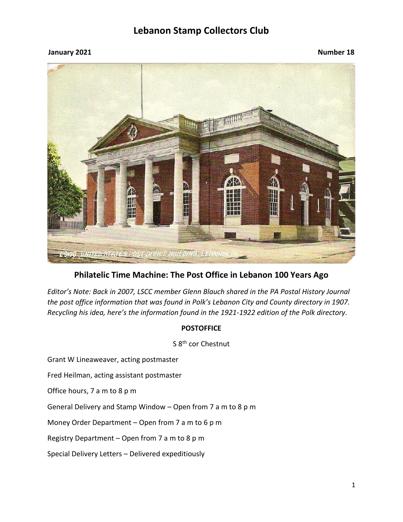#### **January 2021 Number 18**



### **Philatelic Time Machine: The Post Office in Lebanon 100 Years Ago**

*Editor's Note: Back in 2007, LSCC member Glenn Blauch shared in the PA Postal History Journal the post office information that was found in Polk's Lebanon City and County directory in 1907. Recycling his idea, here's the information found in the 1921-1922 edition of the Polk directory.*

#### **POSTOFFICE**

S 8<sup>th</sup> cor Chestnut

Grant W Lineaweaver, acting postmaster

Fred Heilman, acting assistant postmaster

Office hours, 7 a m to 8 p m

General Delivery and Stamp Window – Open from 7 a m to 8 p m

Money Order Department – Open from 7 a m to 6 p m

Registry Department – Open from 7 a m to 8 p m

Special Delivery Letters – Delivered expeditiously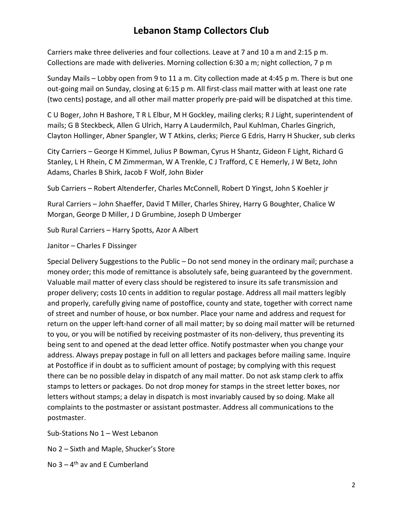Carriers make three deliveries and four collections. Leave at 7 and 10 a m and 2:15 p m. Collections are made with deliveries. Morning collection 6:30 a m; night collection, 7 p m

Sunday Mails – Lobby open from 9 to 11 a m. City collection made at 4:45 p m. There is but one out-going mail on Sunday, closing at 6:15 p m. All first-class mail matter with at least one rate (two cents) postage, and all other mail matter properly pre-paid will be dispatched at this time.

C U Boger, John H Bashore, T R L Elbur, M H Gockley, mailing clerks; R J Light, superintendent of mails; G B Steckbeck, Allen G Ulrich, Harry A Laudermilch, Paul Kuhlman, Charles Gingrich, Clayton Hollinger, Abner Spangler, W T Atkins, clerks; Pierce G Edris, Harry H Shucker, sub clerks

City Carriers – George H Kimmel, Julius P Bowman, Cyrus H Shantz, Gideon F Light, Richard G Stanley, L H Rhein, C M Zimmerman, W A Trenkle, C J Trafford, C E Hemerly, J W Betz, John Adams, Charles B Shirk, Jacob F Wolf, John Bixler

Sub Carriers – Robert Altenderfer, Charles McConnell, Robert D Yingst, John S Koehler jr

Rural Carriers – John Shaeffer, David T Miller, Charles Shirey, Harry G Boughter, Chalice W Morgan, George D Miller, J D Grumbine, Joseph D Umberger

Sub Rural Carriers – Harry Spotts, Azor A Albert

Janitor – Charles F Dissinger

Special Delivery Suggestions to the Public – Do not send money in the ordinary mail; purchase a money order; this mode of remittance is absolutely safe, being guaranteed by the government. Valuable mail matter of every class should be registered to insure its safe transmission and proper delivery; costs 10 cents in addition to regular postage. Address all mail matters legibly and properly, carefully giving name of postoffice, county and state, together with correct name of street and number of house, or box number. Place your name and address and request for return on the upper left-hand corner of all mail matter; by so doing mail matter will be returned to you, or you will be notified by receiving postmaster of its non-delivery, thus preventing its being sent to and opened at the dead letter office. Notify postmaster when you change your address. Always prepay postage in full on all letters and packages before mailing same. Inquire at Postoffice if in doubt as to sufficient amount of postage; by complying with this request there can be no possible delay in dispatch of any mail matter. Do not ask stamp clerk to affix stamps to letters or packages. Do not drop money for stamps in the street letter boxes, nor letters without stamps; a delay in dispatch is most invariably caused by so doing. Make all complaints to the postmaster or assistant postmaster. Address all communications to the postmaster.

Sub-Stations No 1 – West Lebanon

No 2 – Sixth and Maple, Shucker's Store

No 3 – 4<sup>th</sup> av and E Cumberland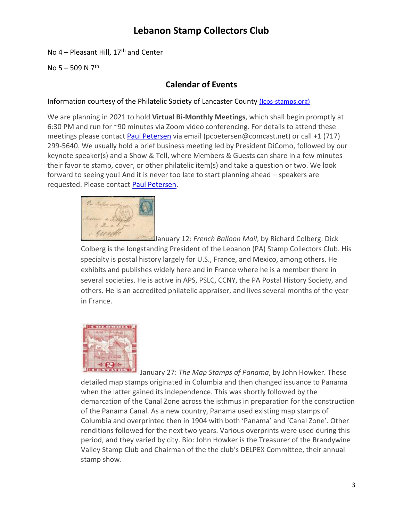No  $4$  – Pleasant Hill, 17<sup>th</sup> and Center

No  $5 - 509$  N  $7<sup>th</sup>$ 

### **Calendar of Events**

#### Information courtesy of the Philatelic Society of Lancaster County (Icps-stamps.org)

We are planning in 2021 to hold **Virtual Bi-Monthly Meetings**, which shall begin promptly at 6:30 PM and run for ~90 minutes via Zoom video conferencing. For details to attend these meetings please contact [Paul Petersen](mailto:pcpetersen@comcast.net) via email (pcpetersen@comcast.net) or call +1 (717) 299-5640. We usually hold a brief business meeting led by President DiComo, followed by our keynote speaker(s) and a Show & Tell, where Members & Guests can share in a few minutes their favorite stamp, cover, or other philatelic item(s) and take a question or two. We look forward to seeing you! And it is never too late to start planning ahead – speakers are requested. Please contact [Paul Petersen.](mailto:pcpetersen@comcast.net)



January 12: *French Balloon Mail*, by Richard Colberg. Dick Colberg is the longstanding President of the Lebanon (PA) Stamp Collectors Club. His specialty is postal history largely for U.S., France, and Mexico, among others. He exhibits and publishes widely here and in France where he is a member there in several societies. He is active in APS, PSLC, CCNY, the PA Postal History Society, and others. He is an accredited philatelic appraiser, and lives several months of the year in France.



January 27: *The Map Stamps of Panama*, by John Howker. These detailed map stamps originated in Columbia and then changed issuance to Panama when the latter gained its independence. This was shortly followed by the demarcation of the Canal Zone across the isthmus in preparation for the construction of the Panama Canal. As a new country, Panama used existing map stamps of Columbia and overprinted then in 1904 with both 'Panama' and 'Canal Zone'. Other renditions followed for the next two years. Various overprints were used during this period, and they varied by city. Bio: John Howker is the Treasurer of the Brandywine Valley Stamp Club and Chairman of the the club's DELPEX Committee, their annual stamp show.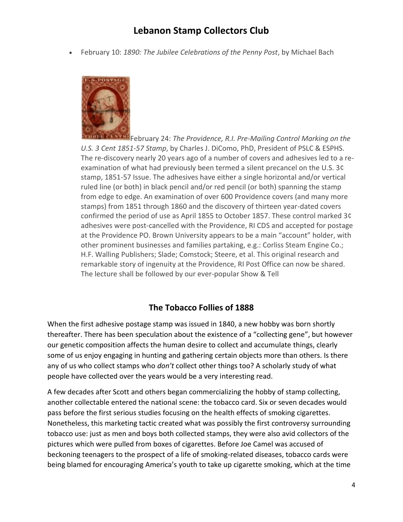• February 10: *1890: The Jubilee Celebrations of the Penny Post*, by Michael Bach



February 24: *The Providence, R.I. Pre-Mailing Control Marking on the U.S. 3 Cent 1851-57 Stamp*, by Charles J. DiComo, PhD, President of PSLC & ESPHS. The re-discovery nearly 20 years ago of a number of covers and adhesives led to a reexamination of what had previously been termed a silent precancel on the U.S. 3¢ stamp, 1851-57 Issue. The adhesives have either a single horizontal and/or vertical ruled line (or both) in black pencil and/or red pencil (or both) spanning the stamp from edge to edge. An examination of over 600 Providence covers (and many more stamps) from 1851 through 1860 and the discovery of thirteen year-dated covers confirmed the period of use as April 1855 to October 1857. These control marked 3¢ adhesives were post-cancelled with the Providence, RI CDS and accepted for postage at the Providence PO. Brown University appears to be a main "account" holder, with other prominent businesses and families partaking, e.g.: Corliss Steam Engine Co.; H.F. Walling Publishers; Slade; Comstock; Steere, et al. This original research and remarkable story of ingenuity at the Providence, RI Post Office can now be shared. The lecture shall be followed by our ever-popular Show & Tell

### **The Tobacco Follies of 1888**

When the first adhesive postage stamp was issued in 1840, a new hobby was born shortly thereafter. There has been speculation about the existence of a "collecting gene", but however our genetic composition affects the human desire to collect and accumulate things, clearly some of us enjoy engaging in hunting and gathering certain objects more than others. Is there any of us who collect stamps who *don't* collect other things too? A scholarly study of what people have collected over the years would be a very interesting read.

A few decades after Scott and others began commercializing the hobby of stamp collecting, another collectable entered the national scene: the tobacco card. Six or seven decades would pass before the first serious studies focusing on the health effects of smoking cigarettes. Nonetheless, this marketing tactic created what was possibly the first controversy surrounding tobacco use: just as men and boys both collected stamps, they were also avid collectors of the pictures which were pulled from boxes of cigarettes. Before Joe Camel was accused of beckoning teenagers to the prospect of a life of smoking-related diseases, tobacco cards were being blamed for encouraging America's youth to take up cigarette smoking, which at the time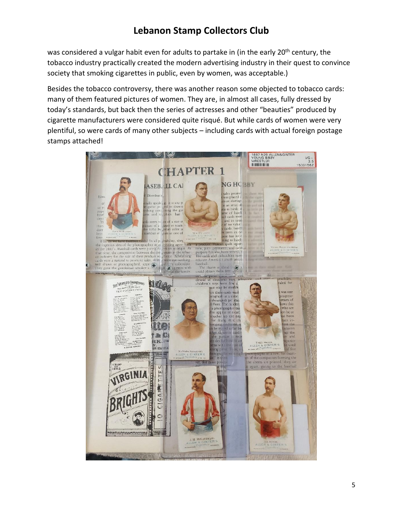was considered a vulgar habit even for adults to partake in (in the early 20<sup>th</sup> century, the tobacco industry practically created the modern advertising industry in their quest to convince society that smoking cigarettes in public, even by women, was acceptable.)

Besides the tobacco controversy, there was another reason some objected to tobacco cards: many of them featured pictures of women. They are, in almost all cases, fully dressed by today's standards, but back then the series of actresses and other "beauties" produced by cigarette manufacturers were considered quite risqué. But while cards of women were very plentiful, so were cards of many other subjects – including cards with actual foreign postage stamps attached!

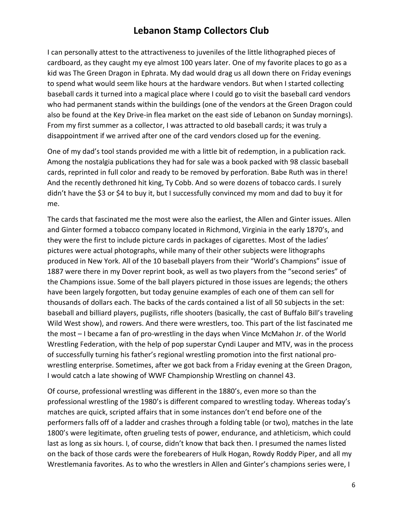I can personally attest to the attractiveness to juveniles of the little lithographed pieces of cardboard, as they caught my eye almost 100 years later. One of my favorite places to go as a kid was The Green Dragon in Ephrata. My dad would drag us all down there on Friday evenings to spend what would seem like hours at the hardware vendors. But when I started collecting baseball cards it turned into a magical place where I could go to visit the baseball card vendors who had permanent stands within the buildings (one of the vendors at the Green Dragon could also be found at the Key Drive-in flea market on the east side of Lebanon on Sunday mornings). From my first summer as a collector, I was attracted to old baseball cards; it was truly a disappointment if we arrived after one of the card vendors closed up for the evening.

One of my dad's tool stands provided me with a little bit of redemption, in a publication rack. Among the nostalgia publications they had for sale was a book packed with 98 classic baseball cards, reprinted in full color and ready to be removed by perforation. Babe Ruth was in there! And the recently dethroned hit king, Ty Cobb. And so were dozens of tobacco cards. I surely didn't have the \$3 or \$4 to buy it, but I successfully convinced my mom and dad to buy it for me.

The cards that fascinated me the most were also the earliest, the Allen and Ginter issues. Allen and Ginter formed a tobacco company located in Richmond, Virginia in the early 1870's, and they were the first to include picture cards in packages of cigarettes. Most of the ladies' pictures were actual photographs, while many of their other subjects were lithographs produced in New York. All of the 10 baseball players from their "World's Champions" issue of 1887 were there in my Dover reprint book, as well as two players from the "second series" of the Champions issue. Some of the ball players pictured in those issues are legends; the others have been largely forgotten, but today genuine examples of each one of them can sell for thousands of dollars each. The backs of the cards contained a list of all 50 subjects in the set: baseball and billiard players, pugilists, rifle shooters (basically, the cast of Buffalo Bill's traveling Wild West show), and rowers. And there were wrestlers, too. This part of the list fascinated me the most – I became a fan of pro-wrestling in the days when Vince McMahon Jr. of the World Wrestling Federation, with the help of pop superstar Cyndi Lauper and MTV, was in the process of successfully turning his father's regional wrestling promotion into the first national prowrestling enterprise. Sometimes, after we got back from a Friday evening at the Green Dragon, I would catch a late showing of WWF Championship Wrestling on channel 43.

Of course, professional wrestling was different in the 1880's, even more so than the professional wrestling of the 1980's is different compared to wrestling today. Whereas today's matches are quick, scripted affairs that in some instances don't end before one of the performers falls off of a ladder and crashes through a folding table (or two), matches in the late 1800's were legitimate, often grueling tests of power, endurance, and athleticism, which could last as long as six hours. I, of course, didn't know that back then. I presumed the names listed on the back of those cards were the forebearers of Hulk Hogan, Rowdy Roddy Piper, and all my Wrestlemania favorites. As to who the wrestlers in Allen and Ginter's champions series were, I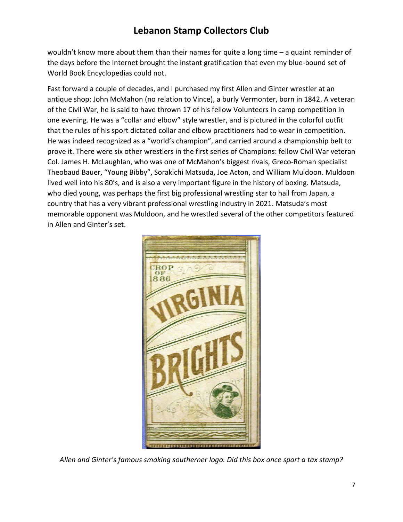wouldn't know more about them than their names for quite a long time – a quaint reminder of the days before the Internet brought the instant gratification that even my blue-bound set of World Book Encyclopedias could not.

Fast forward a couple of decades, and I purchased my first Allen and Ginter wrestler at an antique shop: John McMahon (no relation to Vince), a burly Vermonter, born in 1842. A veteran of the Civil War, he is said to have thrown 17 of his fellow Volunteers in camp competition in one evening. He was a "collar and elbow" style wrestler, and is pictured in the colorful outfit that the rules of his sport dictated collar and elbow practitioners had to wear in competition. He was indeed recognized as a "world's champion", and carried around a championship belt to prove it. There were six other wrestlers in the first series of Champions: fellow Civil War veteran Col. James H. McLaughlan, who was one of McMahon's biggest rivals, Greco-Roman specialist Theobaud Bauer, "Young Bibby", Sorakichi Matsuda, Joe Acton, and William Muldoon. Muldoon lived well into his 80's, and is also a very important figure in the history of boxing. Matsuda, who died young, was perhaps the first big professional wrestling star to hail from Japan, a country that has a very vibrant professional wrestling industry in 2021. Matsuda's most memorable opponent was Muldoon, and he wrestled several of the other competitors featured in Allen and Ginter's set.



*Allen and Ginter's famous smoking southerner logo. Did this box once sport a tax stamp?*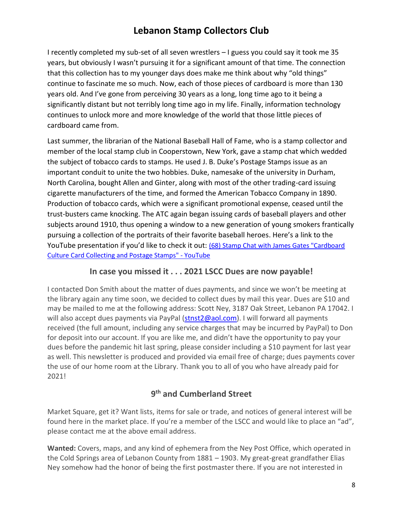I recently completed my sub-set of all seven wrestlers – I guess you could say it took me 35 years, but obviously I wasn't pursuing it for a significant amount of that time. The connection that this collection has to my younger days does make me think about why "old things" continue to fascinate me so much. Now, each of those pieces of cardboard is more than 130 years old. And I've gone from perceiving 30 years as a long, long time ago to it being a significantly distant but not terribly long time ago in my life. Finally, information technology continues to unlock more and more knowledge of the world that those little pieces of cardboard came from.

Last summer, the librarian of the National Baseball Hall of Fame, who is a stamp collector and member of the local stamp club in Cooperstown, New York, gave a stamp chat which wedded the subject of tobacco cards to stamps. He used J. B. Duke's Postage Stamps issue as an important conduit to unite the two hobbies. Duke, namesake of the university in Durham, North Carolina, bought Allen and Ginter, along with most of the other trading-card issuing cigarette manufacturers of the time, and formed the American Tobacco Company in 1890. Production of tobacco cards, which were a significant promotional expense, ceased until the trust-busters came knocking. The ATC again began issuing cards of baseball players and other subjects around 1910, thus opening a window to a new generation of young smokers frantically pursuing a collection of the portraits of their favorite baseball heroes. Here's a link to the YouTube presentation if you'd like to check it out: (68) Stamp [Chat with James Gates "Cardboard](https://www.youtube.com/watch?v=242yEOyfwRQ)  [Culture Card Collecting and Postage Stamps" -](https://www.youtube.com/watch?v=242yEOyfwRQ) YouTube

### **In case you missed it . . . 2021 LSCC Dues are now payable!**

I contacted Don Smith about the matter of dues payments, and since we won't be meeting at the library again any time soon, we decided to collect dues by mail this year. Dues are \$10 and may be mailed to me at the following address: Scott Ney, 3187 Oak Street, Lebanon PA 17042. I will also accept dues payments via PayPal [\(stnst2@aol.com\)](mailto:stnst2@aol.com). I will forward all payments received (the full amount, including any service charges that may be incurred by PayPal) to Don for deposit into our account. If you are like me, and didn't have the opportunity to pay your dues before the pandemic hit last spring, please consider including a \$10 payment for last year as well. This newsletter is produced and provided via email free of charge; dues payments cover the use of our home room at the Library. Thank you to all of you who have already paid for 2021!

### **9 th and Cumberland Street**

Market Square, get it? Want lists, items for sale or trade, and notices of general interest will be found here in the market place. If you're a member of the LSCC and would like to place an "ad", please contact me at the above email address.

**Wanted:** Covers, maps, and any kind of ephemera from the Ney Post Office, which operated in the Cold Springs area of Lebanon County from 1881 – 1903. My great-great grandfather Elias Ney somehow had the honor of being the first postmaster there. If you are not interested in